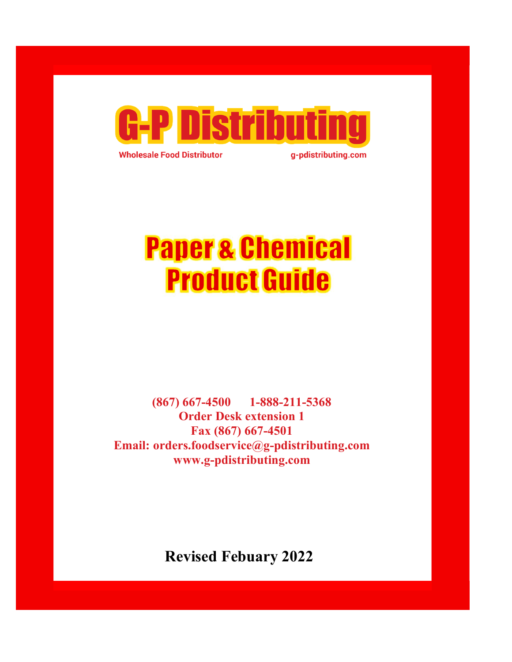

**Wholesale Food Distributor** 

g-pdistributing.com

# **Paper & Chemical Product Guide**

(867) 667-4500 1-888-211-5368 Order Desk extension 1 Fax (867) 667-4501 Email: orders.foodservice@g-pdistributing.com www.g-pdistributing.com

Revised Febuary 2022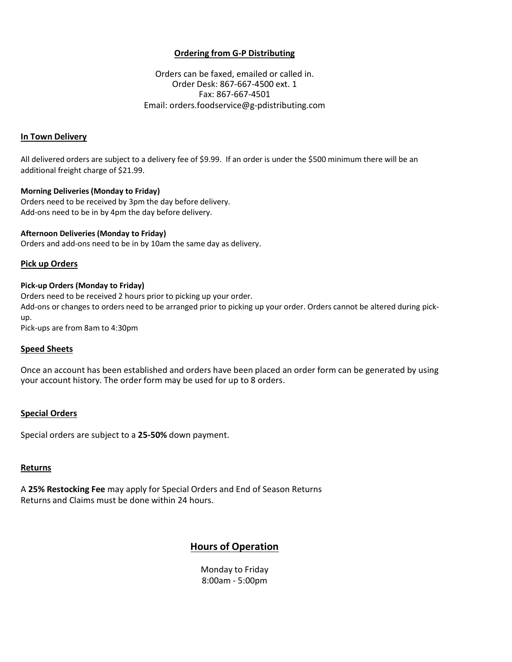#### Ordering from G-P Distributing

**Ordering from G-P Distributing**<br>
Orders can be faxed, emailed or called in.<br>
Order Desk: 867-667-4500 ext. 1<br>
Fax: 867-667-4501<br>
ail: orders.foodservice@g-pdistributing.com **Ordering from G-P Distributing**<br>Pars can be faxed, emailed or called in.<br>Order Desk: 867-667-4500 ext. 1<br>Fax: 867-667-4501<br>Pars: foodservice@g-pdistributing.com Fax: 867-667-4501 Email: orders.foodservice@g-pdistributing.com **Ordering from G-P Distributing**<br>
Orders can be faxed, emailed or called<br>
Order Desk: 867-667-4500 ext. 1<br>
Fax: 867-667-4500 ext. 1<br>
Email: orders.foodservice@g-pdistributing<br> **In Town Delivery**<br>
All delivered orders are s **Ordering from G-P Distributing**<br>
Orders can be faxed, emailed or called in.<br>
Order Desk: 867-667-4500 ext. 1<br>
Fax: 867-667-4501<br>
Email: orders.foodservice@g-pdistributing.com<br>
In Town Delivery<br>
All delivered orders are su

All delivered orders are subject to a delivery fee of \$9.99. If an order is under the \$500 minimum there will be an additional freight charge of \$21.99.

#### Morning Deliveries (Monday to Friday)

Orders need to be received by 3pm the day before delivery. Add-ons need to be in by 4pm the day before delivery.

#### Afternoon Deliveries (Monday to Friday)

#### Pick up Orders

#### Pick-up Orders (Monday to Friday)

Orders need to be received 2 hours prior to picking up your order. Add-ons or changes to orders need to be arranged prior to picking up your order. Orders cannot be altered during pickup. **Afternoon Deliveries (Monday to Friday)**<br>Orders and add-ons need to be in by 10am the same day as delivery.<br>**Pick up Orders**<br>Orders need to be received 2 hours prior to picking up your order.<br>Add-ons or changes to orders

Pick-ups are from 8am to 4:30pm

#### Speed Sheets

Once an account has been established and orders have been placed an order form can be generated by using your account history. The order form may be used for up to 8 orders. stationary and End of Season Returns<br>ed for up to 8 orders.<br>When the Same Beat of Season Returns<br>and End of Season Returns<br>and End of Season Returns<br>and Same Sconding Woods of Charles and Sconding Woods of Cheralism<br>8:00am

#### Special Orders

### **Returns**

A 25% Restocking Fee may apply for Special Orders and End of Season Returns Returns and Claims must be done within 24 hours.

## Hours of Operation

Monday to Friday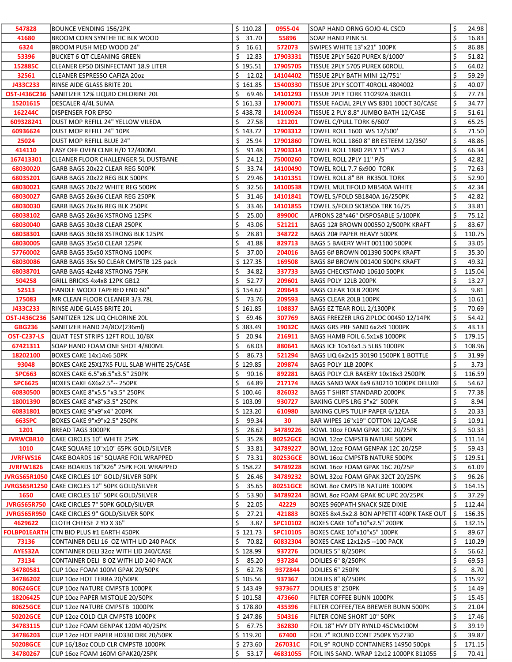| 547828               | <b>BOUNCE VENDING 156/2PK</b>                                        | \$110.28                 | 0955-04              | SOAP HAND ORNG GOJO 4L CSCD                                                     | \$       | 24.98          |
|----------------------|----------------------------------------------------------------------|--------------------------|----------------------|---------------------------------------------------------------------------------|----------|----------------|
| 41680                | <b>BROOM CORN SYNTHETIC BLK WOOD</b>                                 | \$31.70                  | 55896                | SOAP HAND PINK 5L                                                               | \$       | 16.83          |
| 6324                 | BROOM PUSH MED WOOD 24"                                              | 16.61<br>S.              | 572073               | SWIPES WHITE 13"x21" 100PK                                                      | \$       | 86.88          |
| 53396                | <b>BUCKET 6 QT CLEANING GREEN</b>                                    | \$<br>12.83              | 17903331             | TISSUE 2PLY 5620 PUREX 8/1000'                                                  | \$       | 51.82          |
| 152885C              | CLEANER EP50 DISINFECTANT 18.9 LITER                                 | \$195.51                 | 17905705             | TISSUE 2PLY 5705 PUREX 60ROLL                                                   | \$       | 64.02          |
| 32561                | CLEANER ESPRESSO CAFIZA 2002                                         | \$<br>12.02              | 14104402             | TISSUE 2PLY BATH MINI 12/751'                                                   | \$       | 59.29          |
| J433C233             | RINSE AIDE GLASS BRITE 20L                                           | \$161.85                 | 15400330             | TISSUE 2PLY SCOTT 40ROLL 4804002                                                | \$       | 40.07          |
|                      | <b>OST-J436C236</b> SANITIZER 12% LIQUID CHLORINE 20L                | \$<br>69.46              | 14101293             | TISSUE 2PLY TORK 110292A 36ROLL                                                 | \$       | 77.73          |
| 15201615             | DESCALER 4/4L SUMA                                                   | \$161.33                 | 17900071             | TISSUE FACIAL 2PLY WS 8301 100CT 30/CASE                                        | \$       | 34.77          |
| 162244C              | DISPENSER FOR EP50                                                   | \$438.78                 | 14100924             | TISSUE 2 PLY 8.8" JUMBO BATH 12/CASE                                            | \$       | 51.61          |
| 609328241            | <b>JOUST MOP REFILL 24" YELLOW VILEDA</b>                            | \$<br>27.58              | 121201               | TOWEL C/PULL TORK 6/600'                                                        | \$       | 65.25          |
| 60936624             | DUST MOP REFILL 24" 10PK                                             | \$143.72                 | 17903312             | TOWEL ROLL 1600 WS 12/500'                                                      | \$       | 71.50          |
| 25024                | DUST MOP REFILL BLUE 24"                                             | \$<br>25.94              | 17901860             | TOWEL ROLL 1860 8" BR ESTEEM 12/350'                                            | \$       | 48.86          |
| 414110               | EASY OFF OVEN CLNR H/D 12/400ML                                      | \$<br>91.48              | 17903314             | TOWEL ROLL 1880 2PLY 11" WS 2                                                   | \$       | 66.34          |
| 167413301            | CLEANER FLOOR CHALLENGER 5L DUSTBANE                                 | \$<br>24.12              | 75000260             | TOWEL ROLL 2PLY 11" P/S                                                         | \$       | 42.82          |
|                      |                                                                      | \$                       |                      |                                                                                 | \$       |                |
| 68030020<br>68035201 | GARB BAGS 20x22 CLEAR REG 500PK                                      | 33.74<br>\$<br>29.46     | 14100490<br>14101351 | TOWEL ROLL 7.7 6x900 TORK                                                       | \$       | 72.63<br>52.90 |
|                      | GARB BAGS 20x22 REG BLK 500PK                                        |                          |                      | TOWEL ROLL 8" BR RK350L TORK                                                    |          |                |
| 68030021             | GARB BAGS 20x22 WHITE REG 500PK                                      | \$<br>32.56              | 14100538             | TOWEL MULTIFOLD MB540A WHITE                                                    | \$<br>\$ | 42.34          |
| 68030027             | GARB BAGS 26x36 CLEAR REG 250PK                                      | \$<br>31.46              | 14101841             | TOWEL S/FOLD SB1840A 16/250PK                                                   |          | 42.82          |
| 68030030             | GARB BAGS 26x36 REG BLK 250PK                                        | \$<br>33.46              | 14101855             | TOWEL S/FOLD SK1850A TRK 16/25                                                  | \$       | 33.81          |
| 68038102             | GARB BAGS 26x36 XSTRONG 125PK                                        | \$<br>25.00              | 89900C               | APRONS 28"x46" DISPOSABLE 5/100PK                                               | \$       | 75.12          |
| 68030040             | GARB BAGS 30x38 CLEAR 250PK                                          | \$<br>43.06              | 521211               | BAGS 12# BROWN 000550 2/500PK KRAFT                                             | \$       | 83.67          |
| 68038301             | GARB BAGS 30x38 XSTRONG BLK 125PK                                    | \$<br>28.81              | 348722               | BAGS 20# PAPER HEAVY 500PK                                                      | \$       | 110.75         |
| 68030005             | GARB BAGS 35x50 CLEAR 125PK                                          | \$<br>41.88              | 829713               | BAGS 5 BAKERY WHT 001100 500PK                                                  | \$       | 33.05          |
| 57760002             | GARB BAGS 35x50 XSTRONG 100PK                                        | \$<br>37.00              | 204016               | BAGS 6# BROWN 001390 500PK KRAFT                                                | \$       | 35.30          |
| 68030086             | GARB BAGS 35x 50 CLEAR CMPSTB 125 pack                               | \$127.35                 | 169508               | BAGS 8# BROWN 001400 500PK KRAFT                                                | Ś.       | 49.32          |
| 68038701             | GARB BAGS 42x48 XSTRONG 75PK                                         | \$<br>34.82              | 337733               | BAGS CHECKSTAND 10610 500PK                                                     | \$       | 115.04         |
| 504258               | GRILL BRICKS 4x4x8 12PK GB12                                         | Ś.<br>52.77              | 209601               | BAGS POLY 12LB 200PK                                                            | \$       | 13.27          |
| 52513                | HANDLE WOOD TAPERED END 60"                                          | \$154.62                 | 209643               | BAGS CLEAR 10LB 200PK                                                           | \$       | 9.81           |
| 175083               | MR CLEAN FLOOR CLEANER 3/3.78L                                       | \$<br>73.76              | 209593               | BAGS CLEAR 20LB 100PK                                                           | \$       | 10.61          |
| J433C233             | RINSE AIDE GLASS BRITE 20L                                           | \$161.85                 | 108837               | BAGS EZ TEAR ROLL 2/1300PK                                                      | \$       | 70.69          |
|                      | <b>OST-J436C236</b> SANITIZER 12% LIQ CHLORINE 20L                   | \$<br>69.46              | 307769               | BAGS FREEZER LRG ZIPLOC 00450 12/14PK                                           | \$       | 54.42          |
| <b>GBG236</b>        | SANITIZER HAND 24/80Z(236ml)                                         | \$383.49                 | 19032C               | BAGS GRS PRF SAND 6x2x9 1000PK                                                  | \$       | 43.13          |
| <b>OST-C237-LS</b>   | QUAT TEST STRIPS 12FT ROLL 10/BX                                     | \$<br>20.94              | 216911               | BAGS HAMB FOIL 6.5x1x8 1000PK                                                   | \$       | 179.15         |
| 67421311             | SOAP HAND FOAM ONE SHOT 4/800ML                                      | \$<br>68.03              | 880641               | BAGS ICE 10x16x1.5 5LBS 1000PK                                                  | Ś.       | 108.96         |
| 18202100             | BOXES CAKE 14x14x6 50PK                                              | \$<br>86.73              | 521294               | BAGS LIQ 6x2x15 30190 1500PK 1 BOTTLE                                           | \$       | 31.99          |
| 93048                | BOXES CAKE 25X17X5 FULL SLAB WHITE 25/CASE                           | \$129.85                 | 209874               | BAGS POLY 1LB 200PK                                                             | Ś        | 3.73           |
| <b>SPC663</b>        | BOXES CAKE 6.5"x6.5"x3.5" 250PK                                      | \$<br>90.16              | 892281               | BAGS POLY CLR BAKERY 10x16x3 2500PK                                             | \$       | 116.59         |
| <b>SPC6625</b>       | BOXES CAKE 6X6x2.5"-- 250PK                                          | \$<br>64.89              | 217174               | BAGS SAND WAX 6x9 630210 1000PK DELUXE                                          | \$       | 54.62          |
| 60830500             | BOXES CAKE 8"x5.5 "x3.5" 250PK                                       | \$100.46                 | 826032               | <b>BAGS T SHIRT STANDARD 2000PK</b>                                             | \$       | 77.38          |
| 18001390             | BOXES CAKE 8"x8"x3.5" 250PK                                          | \$103.09                 | 930727               | BAKING CUPS LRG 5"x2" 500PK                                                     | \$       | 8.94           |
| 60831801             | BOXES CAKE 9"x9"x4" 200PK                                            | \$123.20                 | 610980               | BAKING CUPS TULIP PAPER 6/12EA                                                  | \$       | 20.33          |
| 663SPC               | BOXES CAKE 9"x9"x2.5" 250PK                                          | \$<br>99.34              | 30                   | BAR WIPES 16"x19" COTTON 12/CASE                                                | \$       | 10.91          |
| 1201                 | <b>BREAD TAGS 3000PK</b>                                             | \$<br>28.62              | 34789226             | BOWL 10oz FOAM GPAK 10C 20/25PK                                                 | \$       | 50.33          |
| <b>JVRWCBR10</b>     | CAKE CIRCLES 10" WHITE 25PK                                          | \$<br>35.28              | 80252GCE             | <b>BOWL 12oz CMPSTB NATURE 500PK</b>                                            | \$       | 111.14         |
| 1010                 | CAKE SQUARE 10"x10" 65PK GOLD/SILVER                                 | \$<br>33.81              | 34789227             | BOWL 12oz FOAM GENPAK 12C 20/25P                                                | \$       | 59.43          |
| <b>JVRFWS16</b>      | CAKE BOARDS 16" SQUARE FOIL WRAPPED                                  | \$<br>73.31              | 80253GCE             | <b>BOWL 16oz CMPSTB NATURE 500PK</b>                                            | \$       | 129.51         |
| <b>JVRFW1826</b>     | CAKE BOARDS 18"X26" 25PK FOIL WRAPPED                                | \$158.22                 | 34789228             | BOWL 16oz FOAM GPAK 16C 20/25P                                                  | \$       | 61.09          |
|                      | <b>JVRGS65R1050</b> CAKE CIRCLES 10" GOLD/SILVER 50PK                | \$<br>26.46              | 34789232             | BOWL 32oz FOAM GPAK 32CT 20/25PK                                                | \$       | 96.26          |
|                      | JVRGS65R1250 CAKE CIRCLES 12" 50PK GOLD/SILVER                       | \$<br>35.65              | 80251GCE             | <b>BOWL 8oz CMPSTB NATURE 1000PK</b>                                            | \$       | 164.15         |
| 1650                 | CAKE CIRCLES 16" 50PK GOLD/SILVER                                    | \$<br>53.90              | 34789224             | BOWL 802 FOAM GPAK 8C UPC 20/25PK                                               | \$       | 37.29          |
| <b>JVRGS65R750</b>   | CAKE CIRCLES 7" 50PK GOLD/SILVER                                     | \$<br>22.05              | 42229                | BOXES 960PATH SNACK SIZE DIXIE                                                  | \$       | 112.44         |
|                      | <b>JVRGS65R950</b> CAKE CIRCLES 9" GOLD/SILVER 50PK                  | \$<br>27.21              | 421883               | BOXES 8x4.5x2.8 BON APPETIT 400PK TAKE OUT                                      | \$       | 156.35         |
| 4629622              | CLOTH CHEESE 2 YD X 36"                                              | \$<br>3.87               | SPC10102             | BOXES CAKE 10"x10"x2.5" 200PK                                                   | \$       | 132.15         |
|                      | <b>FOLBP01EARTH CTN BIO PLUS #1 EARTH 450PK</b>                      | \$121.73                 | <b>SPC10105</b>      | BOXES CAKE 10"x10"x5" 100PK                                                     | \$       | 89.67          |
| 73136                | CONTAINER DELI 16 OZ WITH LID 240 PACK                               | \$<br>70.82              | 60832304             | BOXES CAKE 12x12x5 --100 PACK                                                   | \$       | 110.29         |
| AYES32A              | CONTAINER DELI 32oz WITH LID 240/CASE                                | \$128.99                 | 937276               | DOILIES 5" 8/250PK                                                              | \$       | 56.62          |
| 73134                | CONTAINER DELI 8 OZ WITH LID 240 PACK                                | \$<br>85.20              | 937284               | DOILIES 6" 8/250PK                                                              | \$       | 69.53          |
| 34780581             | CUP 10oz FOAM 100M GPAK 20/50PK                                      | \$.<br>62.78             | 9372844              | DOILIES 6" 250PK                                                                | \$       | 8.70           |
| 34786202             | CUP 10oz HOT TERRA 20/50PK                                           | \$105.56                 | 937367               | DOILIES 8" 8/250PK                                                              | \$       | 115.92         |
| 80624GCE             | CUP 10oz NATURE CMPSTB 1000PK                                        | \$143.49                 | 9373677              | DOILIES 8" 250PK                                                                | \$       | 14.49          |
| 18206425             | CUP 10oz PAPER MISTQUE 20/50PK                                       | \$101.58                 | 473660               | FILTER COFFEE BUNN 1000PK                                                       | \$       | 15.45          |
| 80625GCE             | CUP 12oz NATURE CMPSTB 1000PK                                        | \$178.80                 | 435396               | FILTER COFFEE/TEA BREWER BUNN 500PK                                             | \$       | 21.04          |
| 50202GCE             | CUP 12oz COLD CLR CMPSTB 1000PK                                      | \$247.86                 | 504316               | FILTER CONE SHORT 10" 50PK                                                      | \$       | 17.46          |
| 34783115             | CUP 12oz FOAM GENPAK 120M 40/25PK                                    | \$<br>67.75              | 362830               | FOIL 18" HVY DTY RYNLD 45CMx100M                                                | \$       | 39.19          |
| 34786203             | CUP 12oz HOT PAPER HD330 DRK 20/50PK                                 | \$119.20                 | 67400                | FOIL 7" ROUND CONT 250PK Y52730                                                 | \$       | 39.87          |
|                      |                                                                      |                          |                      |                                                                                 |          | 171.15         |
|                      |                                                                      |                          |                      |                                                                                 |          |                |
| 50208GCE<br>34780267 | CUP 16/18oz COLD CLR CMPSTB 1000PK<br>CUP 16oz FOAM 160M GPAK20/25PK | \$273.60<br>\$.<br>53.17 | 267031C<br>46831055  | FOIL 9" ROUND CONTAINERS 14950 500pk<br>FOIL INS SAND. WRAP 12x12 1000PK 811055 | \$<br>\$ | 70.41          |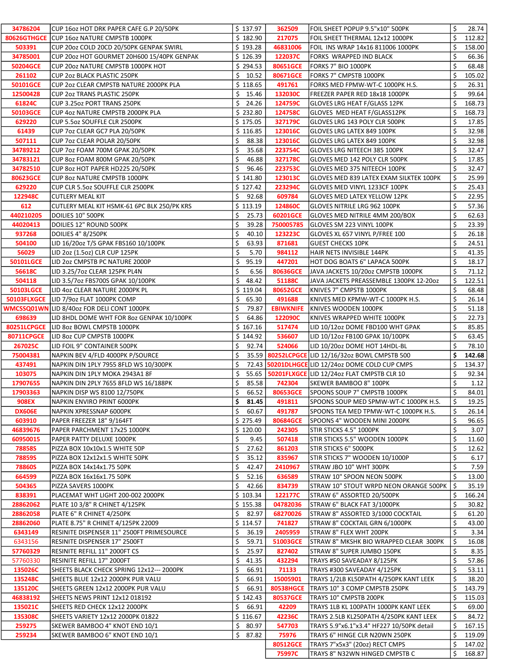| 34786204           | CUP 16oz HOT DRK PAPER CAFE G.P 20/50PK           | \$137.97     | 362509           | FOIL SHEET POPUP 9.5"x10" 500PK                           | \$ | 28.74  |
|--------------------|---------------------------------------------------|--------------|------------------|-----------------------------------------------------------|----|--------|
| <b>80626GTHGCE</b> | CUP 16oz NATURE CMPSTB 1000PK                     | \$182.90     | 217075           | FOIL SHEET THERMAL 12x12 1000PK                           | \$ | 112.82 |
| 503391             | CUP 20oz COLD 20CD 20/50PK GENPAK SWIRL           | \$193.28     | 46831006         | FOIL INS WRAP 14x16 811006 1000PK                         | \$ | 158.00 |
| 34785001           | CUP 20oz HOT GOURMET 20H600 15/40PK GENPAK        | \$126.39     | 122037C          | FORKS WRAPPED IND BLACK                                   | \$ | 66.36  |
| 50204GCE           | CUP 2002 NATURE CMPSTB 1000PK HOT                 | \$294.53     | 80651GCE         | FORKS 7" BIO 1000PK                                       | \$ | 68.48  |
| 261102             | <b>CUP 2oz BLACK PLASTIC 250PK</b>                | \$<br>10.52  | 80671GCE         | FORKS 7" CMPSTB 1000PK                                    | \$ | 105.02 |
| 50101GCE           | CUP 202 CLEAR CMPSTB NATURE 2000PK PLA            | \$118.65     | 491761           | FORKS MED FPMW-WT-C 1000PK H.S.                           | \$ | 26.31  |
| 12500428           | <b>CUP 2oz TRANS PLASTIC 250PK</b>                | \$.<br>15.46 | 132030C          | FREEZER PAPER RED 18x18 1000PK                            | \$ | 99.64  |
| 61824C             | CUP 3.25oz PORT TRANS 250PK                       | \$<br>24.26  | 124759C          | GLOVES LRG HEAT F/GLASS 12PK                              | \$ | 168.73 |
| 50103GCE           | CUP 4oz NATURE CMPSTB 2000PK PLA                  | \$232.80     | 124758C          | GLOVES MED HEAT F/GLASS12PK                               | \$ | 168.73 |
|                    |                                                   |              |                  |                                                           | \$ |        |
| 629220             | CUP 5.5oz SOUFFLE CLR 2500PK                      | \$175.05     | 327179C          | GLOVES LRG 143 POLY CLR 500PK                             |    | 17.85  |
| 61439              | CUP 7oz CLEAR GC7 PLA 20/50PK                     | \$116.85     | 123016C          | GLOVES LRG LATEX 849 100PK                                | \$ | 32.98  |
| 507111             | CUP 7oz CLEAR POLAR 20/50PK                       | \$<br>88.38  | 123016C          | GLOVES LRG LATEX 849 100PK                                | \$ | 32.98  |
| 34789212           | CUP 7oz FOAM 700M GPAK 20/50PK                    | \$<br>35.68  | 223754C          | GLOVES LRG NITEECH 385 100PK                              | \$ | 32.47  |
| 34783121           | CUP 8oz FOAM 800M GPAK 20/50PK                    | \$<br>46.88  | 327178C          | GLOVES MED 142 POLY CLR 500PK                             | \$ | 17.85  |
| 34782510           | CUP 8oz HOT PAPER HD225 20/50PK                   | \$<br>96.46  | 223753C          | GLOVES MED 375 NITEECH 100PK                              | \$ | 32.47  |
| 80623GCE           | <b>CUP 802 NATURE CMPSTB 1000PK</b>               | \$141.80     | 123013C          | GLOVES MED 839 LATEX EXAM SILKTEK 100PK                   | \$ | 25.99  |
| 629220             | CUP CLR 5.5oz SOUFFLE CLR 2500PK                  | \$127.42     | 223294C          | GLOVES MED VINYL 1233CF 100PK                             | \$ | 25.43  |
| 122948C            | <b>CUTLERY MEAL KIT</b>                           | \$<br>92.68  | 609784           | <b>GLOVES MED LATEX YELLOW 12PK</b>                       | \$ | 22.95  |
| 612                | CUTLERY MEAL KIT HSMK-61 6PC BLK 250/PK KRS       | \$113.19     | 124860C          | GLOVES NITRILE LRG 962 100PK                              | Ś  | 57.36  |
| 440210205          | DOILIES 10" 500PK                                 | \$<br>25.73  | 60201GCE         | GLOVES MED NITRILE 4MM 200/BOX                            | \$ | 62.63  |
| 44020413           | DOILIES 12" ROUND 500PK                           | \$<br>39.28  | 750005785        | GLOVES SM 223 VINYL 100PK                                 | \$ | 23.39  |
| 937268             | DOILIES 4" 8/250PK                                | \$<br>40.10  | 123223C          | GLOVES XL 657 VINYL P/FREE 100                            | \$ | 26.18  |
| 504100             | LID 16/20oz T/S GPAK FBS160 10/100PK              | \$<br>63.93  | 871681           | <b>GUEST CHECKS 10PK</b>                                  | \$ | 24.51  |
| 56029              | LID 2oz (1.5oz) CLR CUP 125PK                     | \$<br>5.70   | 984112           | HAIR NETS INVISIBLE 144PK                                 | \$ | 41.35  |
| 50101LGCE          | LID 2oz CMPSTB PC NATURE 2000P                    | \$<br>95.19  | 447201           | HOT DOG BOATS 6" LAPACA 500PK                             | \$ | 18.17  |
| 56618C             | LID 3.25/7oz CLEAR 125PK PL4N                     | Ś<br>6.56    | 80636GCE         | JAVA JACKETS 10/20oz CMPSTB 1000PK                        | Ś  | 71.12  |
| 504118             | LID 3.5/7oz FBS700S GPAK 10/100PK                 | \$<br>48.42  | 51188C           | JAVA JACKETS PREASSEMBLE 1300PK 12-20oz                   | \$ | 122.51 |
| <b>50103LGCE</b>   | LID 4oz CLEAR NATURE 2000PK PL                    | \$119.04     | 80652GCE         | KNIVES 7" CMPSTB 1000PK                                   | \$ | 68.48  |
|                    | <b>50103FLXGCE</b>   LID 7/90z FLAT 1000PK COMP   | \$.<br>65.30 | 491688           | KNIVES MED KPMW-WT-C 1000PK H.S.                          | \$ | 26.14  |
|                    | <b>WMCSSQ01WN LID 8/40oz FOR DELI CONT 1000PK</b> | \$<br>79.87  | <b>EBIWKNIFE</b> | KNIVES WOODEN 1000PK                                      | \$ | 51.18  |
| 698639             | LID 8HDL DOME WHT FOR 802 GENPAK 10/100PK         | \$<br>64.86  | 122090C          | KNIVES WRAPPED WHITE 1000PK                               | \$ | 22.73  |
| <b>80251LCPGCE</b> | LID 802 BOWL CMPSTB 1000PK                        | \$167.16     | 517474           | LID 10/12oz DOME FBD100 WHT GPAK                          | \$ | 85.85  |
|                    | LID 80z CUP CMPSTB 1000PK                         | \$144.92     | 536607           | LID 10/12oz FB100 GPAK 10/100PK                           | \$ | 63.45  |
| 80711CPGCE         |                                                   | \$<br>92.74  |                  |                                                           | \$ | 78.10  |
|                    |                                                   |              |                  |                                                           |    |        |
| 267025C            | LID FOIL 9" CONTAINER 500PK                       |              | 524066           | LID 10/20oz DOME HOT 14HDL-BL                             |    |        |
| 75004381           | NAPKIN BEV 4/FLD 4000PK P/SOURCE                  | Ś            |                  | 35.59 80252LCPGCE LID 12/16/32oz BOWL CMPSTB 500          | \$ | 142.68 |
| 437491             | NAPKIN DIN 1PLY 7955 8FLD WS 10/300PK             | \$           |                  | 72.43   50201DLHGCE LID 12/24oz DOME COLD CUP CMPS        | \$ | 134.37 |
| 103075             | NAPKIN DIN 1PLY MOKA 2943A1 8F                    | \$           |                  | 55.65   <b>50201FLXGCE</b> LID 12/24oz FLAT CMPSTB CLR 10 | \$ | 92.34  |
| 17907655           | NAPKIN DIN 2PLY 7655 8FLD WS 16/188PK             | \$<br>85.58  | 742304           | SKEWER BAMBOO 8" 100PK                                    | \$ | 1.12   |
| 17903363           | NAPKIN DISP WS 8100 12/750PK                      | \$<br>66.52  | 80653GCE         | SPOONS SOUP 7" CMPSTB 1000PK                              | \$ | 84.01  |
| 908EX              | NAPKIN ENVIRO PRINT 6000PK                        | \$.<br>81.45 | 491811           | SPOONS SOUP MED SPMW-WT-C 1000PK H.S.                     | S  | 19.25  |
| <b>DX606E</b>      | NAPKIN XPRESSNAP 6000PK                           | \$<br>60.67  | 491787           | SPOONS TEA MED TPMW-WT-C 1000PK H.S.                      | \$ | 26.14  |
| 603910             | PAPER FREEZER 18" 9/164FT                         | \$275.49     | 80684GCE         | SPOONS 4" WOODEN MINI 2000PK                              | \$ | 96.65  |
| 46839676           | PAPER PARCHMENT 17x25 1000PK                      | \$120.00     | 242305           | STIR STICKS 4.5" 1000PK                                   | \$ | 3.07   |
| 60950015           | PAPER PATTY DELUXE 1000PK                         | \$<br>9.45   | 507418           | STIR STICKS 5.5" WOODEN 1000PK                            | \$ | 11.60  |
| <b>78858S</b>      | PIZZA BOX 10x10x1.5 WHITE 50P                     | \$<br>27.62  | 861203           | STIR STICKS 6" 5000PK                                     | \$ | 12.62  |
| <b>78859S</b>      | PIZZA BOX 12x12x1.5 WHITE 50PK                    | \$<br>35.12  | 835967           | STIR STICKS 7" WOODEN 10/1000P                            | \$ | 6.17   |
| <b>78860S</b>      | PIZZA BOX 14x14x1.75 50PK                         | \$<br>42.47  | 2410967          | STRAW JBO 10" WHT 300PK                                   | \$ | 7.59   |
| 664599             | PIZZA BOX 16x16x1.75 50PK                         | \$<br>52.16  | 636589           | STRAW 10" SPOON NEON 500PK                                | \$ | 13.00  |
| 504365             | PIZZA SAVERS 1000PK                               | \$<br>42.66  | 834739           | STRAW 10" STOUT WRPD NEON ORANGE 500PK                    | \$ | 35.19  |
| 838391             | PLACEMAT WHT LIGHT 200-002 2000PK                 | \$103.34     | 122177C          | STRAW 6" ASSORTED 20/500PK                                | \$ | 166.24 |
|                    | PLATE 10 3/8" R CHINET 4/125PK                    | \$155.38     | 04782036         |                                                           |    |        |
| 28862062           |                                                   |              |                  | STRAW 6" BLACK FAT 3/1000PK                               | \$ | 30.82  |
| 28862058           | PLATE 6" R CHINET 4/250PK                         | \$.<br>82.97 | 68270026         | STRAW 8" ASSORTED 3/1000 COCKTAIL                         | \$ | 61.20  |
| 28862060           | PLATE 8.75" R CHINET 4/125PK 22009                | \$114.57     | 741827           | STRAW 8" COCKTAIL GRN 6/1000PK                            | \$ | 43.00  |
| 6343149            | RESINITE DISPENSER 11" 2500FT PRIMESOURCE         | \$<br>36.19  | 2405959          | STRAW 8" FLEX WHT 200PK                                   | \$ | 3.34   |
| 6343156            | RESINITE DISPENSER 17" 2500FT                     | \$<br>59.71  | 51003GCE         | STRAW 8" MKSHK BIO WRAPPED CLEAR 300PK                    | \$ | 16.08  |
| 57760329           | RESINITE REFILL 11" 2000FT CS                     | \$<br>25.97  | 827402           | STRAW 8" SUPER JUMBO 150PK                                | \$ | 8.35   |
| 57760330           | RESINITE REFILL 17" 2000FT                        | \$<br>41.35  | 432294           | TRAYS #50 SAVEADAY 8/125PK                                | \$ | 57.86  |
| 135026C            | SHEETS BLACK CHECK SPRING 12x12--- 2000PK         | \$<br>66.91  | 71133            | TRAYS #300 SAVEADAY 4/125PK                               | \$ | 53.11  |
| 135248C            | SHEETS BLUE 12x12 2000PK PUR VALU                 | \$<br>66.91  | 15005901         | TRAYS 1/2LB KL50PATH 4/250PK KANT LEEK                    | \$ | 38.20  |
| 135120C            | SHEETS GREEN 12x12 2000PK PUR VALU                | \$<br>66.91  |                  | 80538HGCE   TRAYS 10" 3 COMP CMPSTB 250PK                 | \$ | 143.79 |
| 46838192           | SHEETS NEWS PRINT 12x12 018192                    | \$142.43     | 80537GCE         | TRAYS 10" CMPSTB 200PK                                    | \$ | 115.03 |
| 135021C            | SHEETS RED CHECK 12x12 2000PK                     | \$<br>66.91  | 42209            | TRAYS 1LB KL 100PATH 1000PK KANT LEEK                     | \$ | 69.00  |
| 135308C            | SHEETS VARIETY 12x12 2000PK 01822                 | \$116.67     | 42236C           | TRAYS 2.5LB KL250PATH 4/250PK KANT LEEK                   | \$ | 84.72  |
| 259275             | SKEWER BAMBOO 4" KNOT END 10/1                    | \$80.97      | 547703           | TRAYS 5.9"x6.1"x3.4" HF227 10/50PK detail                 | \$ | 167.15 |
| 259234             | SKEWER BAMBOO 6" KNOT END 10/1                    | \$87.82      | 75976            | TRAYS 6" HINGE CLR N20WN 250PK                            | \$ | 119.09 |
|                    |                                                   |              | 80512GCE         | TRAYS 7"x5x3" (20oz) RECT CMPS                            | \$ | 147.02 |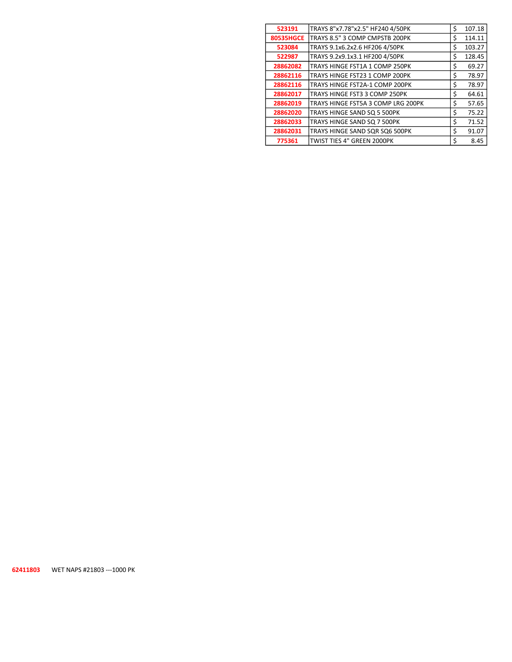| 523191           | TRAYS 8"x7.78"x2.5" HF240 4/50PK   | \$<br>107.18 |
|------------------|------------------------------------|--------------|
| <b>80535HGCE</b> | TRAYS 8.5" 3 COMP CMPSTB 200PK     | \$<br>114.11 |
| 523084           | TRAYS 9.1x6.2x2.6 HF206 4/50PK     | \$<br>103.27 |
| 522987           | TRAYS 9.2x9.1x3.1 HF200 4/50PK     | \$<br>128.45 |
| 28862082         | TRAYS HINGE FST1A 1 COMP 250PK     | \$<br>69.27  |
| 28862116         | TRAYS HINGE FST23 1 COMP 200PK     | \$<br>78.97  |
| 28862116         | TRAYS HINGE FST2A-1 COMP 200PK     | \$<br>78.97  |
| 28862017         | TRAYS HINGE FST3 3 COMP 250PK      | \$<br>64.61  |
| 28862019         | TRAYS HINGE FST5A 3 COMP LRG 200PK | \$<br>57.65  |
| 28862020         | TRAYS HINGE SAND SQ 5 500PK        | \$<br>75.22  |
| 28862033         | TRAYS HINGE SAND SQ 7 500PK        | \$<br>71.52  |
| 28862031         | TRAYS HINGE SAND SOR SO6 500PK     | \$<br>91.07  |
| 775361           | TWIST TIES 4" GREEN 2000PK         | \$<br>8.45   |